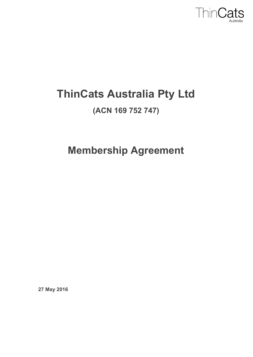

# **ThinCats Australia Pty Ltd**

## **(ACN 169 752 747)**

**Membership Agreement**

**27 May 2016**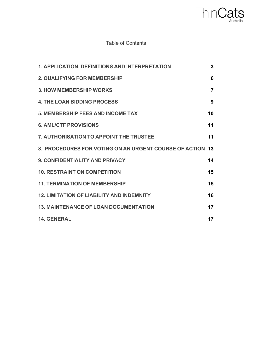

#### Table of Contents

| 1. APPLICATION, DEFINITIONS AND INTERPRETATION            | 3              |
|-----------------------------------------------------------|----------------|
| 2. QUALIFYING FOR MEMBERSHIP                              | 6              |
| <b>3. HOW MEMBERSHIP WORKS</b>                            | $\overline{7}$ |
| <b>4. THE LOAN BIDDING PROCESS</b>                        | 9              |
| <b>5. MEMBERSHIP FEES AND INCOME TAX</b>                  | 10             |
| <b>6. AML/CTF PROVISIONS</b>                              | 11             |
| 7. AUTHORISATION TO APPOINT THE TRUSTEE                   | 11             |
| 8. PROCEDURES FOR VOTING ON AN URGENT COURSE OF ACTION 13 |                |
| 9. CONFIDENTIALITY AND PRIVACY                            | 14             |
| <b>10. RESTRAINT ON COMPETITION</b>                       | 15             |
| <b>11. TERMINATION OF MEMBERSHIP</b>                      | 15             |
| <b>12. LIMITATION OF LIABILITY AND INDEMNITY</b>          | 16             |
| <b>13. MAINTENANCE OF LOAN DOCUMENTATION</b>              | 17             |
| <b>14. GENERAL</b>                                        | 17             |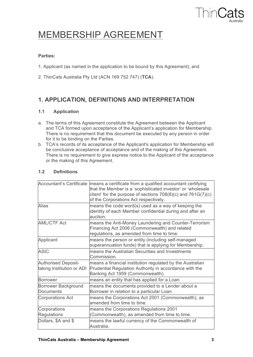

## MEMBERSHIP AGREEMENT

#### **Parties:**

- 1. Applicant (as named in the application to be bound by this Agreement); and
- 2. ThinCats Australia Pty Ltd (ACN 169 752 747) (**TCA**).

## **1. APPLICATION, DEFINITIONS AND INTERPRETATION**

#### **1.1 Application**

- a. The terms of this Agreement constitute the Agreement between the Applicant and TCA formed upon acceptance of the Applicant's application for Membership. There is no requirement that this document be executed by any person in order for it to be binding on the Parties.
- b. TCA's records of its acceptance of the Applicant's application for Membership will be conclusive acceptance of acceptance and of the making of this Agreement. There is no requirement to give express notice to the Applicant of the acceptance or the making of this Agreement.

#### **1.2 Definitions**

| <b>Accountant's Certificate</b>                         | means a certificate from a qualified accountant certifying<br>that the Member is a 'sophisticated investor' or 'wholesale<br>client' for the purpose of sections $708(8)(c)$ and $761G(7)(c)$<br>of the Corporations Act respectively. |
|---------------------------------------------------------|----------------------------------------------------------------------------------------------------------------------------------------------------------------------------------------------------------------------------------------|
| Alias                                                   | means the code word(s) used as a way of keeping the<br>identity of each Member confidential during and after an<br>auction.                                                                                                            |
| <b>AML/CTF Act</b>                                      | means the Anti-Money Laundering and Counter-Terrorism<br>Financing Act 2006 (Commonwealth) and related<br>regulations, as amended from time to time.                                                                                   |
| Applicant                                               | means the person or entity (including self-managed<br>superannuation funds) that is applying for Membership.                                                                                                                           |
| <b>ASIC</b>                                             | means the Australian Securities and Investments<br>Commission.                                                                                                                                                                         |
| <b>Authorised Deposit-</b><br>taking Institution or ADI | means a financial institution regulated by the Australian<br>Prudential Regulation Authority in accordance with the<br>Banking Act 1959 (Commonwealth).                                                                                |
| <b>Borrower</b>                                         | means an entity that has applied for a Loan.                                                                                                                                                                                           |
| Borrower Background<br><b>Documents</b>                 | means the documents provided to a Lender about a<br>Borrower in relation to a particular Loan.                                                                                                                                         |
| <b>Corporations Act</b>                                 | means the Corporations Act 2001 (Commonwealth), as<br>amended from time to time.                                                                                                                                                       |
| Corporations<br><b>Regulations</b>                      | means the Corporations Regulations 2001<br>(Commonwealth), as amended from time to time.                                                                                                                                               |
| Dollars, \$A and \$                                     | means the lawful currency of the Commonwealth of<br>Australia.                                                                                                                                                                         |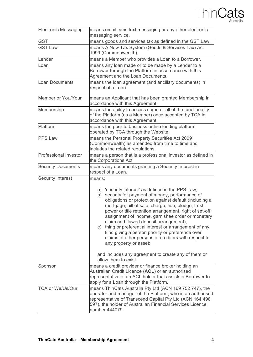

| <b>Electronic Messaging</b>  | means email, sms text messaging or any other electronic<br>messaging service.                                                                                                                                                                                                                                                                                                                                                                                                                                                                                                                                                                                                  |
|------------------------------|--------------------------------------------------------------------------------------------------------------------------------------------------------------------------------------------------------------------------------------------------------------------------------------------------------------------------------------------------------------------------------------------------------------------------------------------------------------------------------------------------------------------------------------------------------------------------------------------------------------------------------------------------------------------------------|
| <b>GST</b>                   | means goods and services tax as defined in the GST Law.                                                                                                                                                                                                                                                                                                                                                                                                                                                                                                                                                                                                                        |
| <b>GST Law</b>               | means A New Tax System (Goods & Services Tax) Act<br>1999 (Commonwealth).                                                                                                                                                                                                                                                                                                                                                                                                                                                                                                                                                                                                      |
| Lender                       | means a Member who provides a Loan to a Borrower.                                                                                                                                                                                                                                                                                                                                                                                                                                                                                                                                                                                                                              |
| Loan                         | means any loan made or to be made by a Lender to a<br>Borrower through the Platform in accordance with this<br>Agreement and the Loan Documents.                                                                                                                                                                                                                                                                                                                                                                                                                                                                                                                               |
| <b>Loan Documents</b>        | means the loan agreement (and ancillary documents) in<br>respect of a Loan.                                                                                                                                                                                                                                                                                                                                                                                                                                                                                                                                                                                                    |
| Member or You/Your           | means an Applicant that has been granted Membership in<br>accordance with this Agreement.                                                                                                                                                                                                                                                                                                                                                                                                                                                                                                                                                                                      |
| Membership                   | means the ability to access some or all of the functionality<br>of the Platform (as a Member) once accepted by TCA in<br>accordance with this Agreement.                                                                                                                                                                                                                                                                                                                                                                                                                                                                                                                       |
| Platform                     | means the peer to business online lending platform<br>operated by TCA through the Website.                                                                                                                                                                                                                                                                                                                                                                                                                                                                                                                                                                                     |
| <b>PPS Law</b>               | means the Personal Property Securities Act 2009<br>(Commonwealth) as amended from time to time and<br>includes the related regulations.                                                                                                                                                                                                                                                                                                                                                                                                                                                                                                                                        |
| <b>Professional Investor</b> | means a person that is a professional investor as defined in<br>the Corporations Act.                                                                                                                                                                                                                                                                                                                                                                                                                                                                                                                                                                                          |
| <b>Security Documents</b>    | means any documents granting a Security Interest in<br>respect of a Loan.                                                                                                                                                                                                                                                                                                                                                                                                                                                                                                                                                                                                      |
| <b>Security Interest</b>     | means:<br>a) 'security interest' as defined in the PPS Law;<br>security for payment of money, performance of<br>b)<br>obligations or protection against default (including a<br>mortgage, bill of sale, charge, lien, pledge, trust,<br>power or title retention arrangement, right of set-off,<br>assignment of income, garnishee order or monetary<br>claim and flawed deposit arrangement);<br>c) thing or preferential interest or arrangement of any<br>kind giving a person priority or preference over<br>claims of other persons or creditors with respect to<br>any property or asset;<br>and includes any agreement to create any of them or<br>allow them to exist. |
| Sponsor                      | means a credit provider or finance broker holding an<br>Australian Credit Licence (ACL) or an authorised<br>representative of an ACL holder that assists a Borrower to<br>apply for a Loan through the Platform.                                                                                                                                                                                                                                                                                                                                                                                                                                                               |
| <b>TCA or We/Us/Our</b>      | means ThinCats Australia Pty Ltd (ACN 169 752 747), the<br>operator and manager of the Platform, who is an authorised<br>representative of Transcend Capital Pty Ltd (ACN 164 498<br>597), the holder of Australian Financial Services Licence<br>number 444079.                                                                                                                                                                                                                                                                                                                                                                                                               |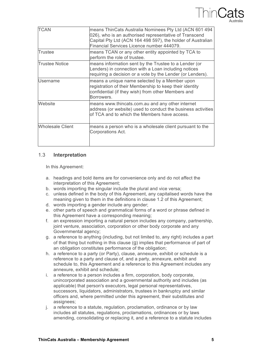

| <b>TCAN</b>             | means ThinCats Australia Nominees Pty Ltd (ACN 601 494<br>026), who is an authorised representative of Transcend<br>Capital Pty Ltd (ACN 164 498 597), the holder of Australian<br>Financial Services Licence number 444079. |
|-------------------------|------------------------------------------------------------------------------------------------------------------------------------------------------------------------------------------------------------------------------|
| Trustee                 | means TCAN or any other entity appointed by TCA to<br>perform the role of trustee.                                                                                                                                           |
| <b>Trustee Notice</b>   | means information sent by the Trustee to a Lender (or<br>Lenders) in connection with a Loan including notices<br>requiring a decision or a vote by the Lender (or Lenders).                                                  |
| <b>Username</b>         | means a unique name selected by a Member upon<br>registration of their Membership to keep their identity<br>confidential (if they wish) from other Members and<br>Borrowers.                                                 |
| Website                 | means www.thincats.com.au and any other internet<br>address (or website) used to conduct the business activities<br>of TCA and to which the Members have access.                                                             |
| <b>Wholesale Client</b> | means a person who is a wholesale client pursuant to the<br>Corporations Act.                                                                                                                                                |

#### 1.3 **Interpretation**

In this Agreement:

- a. headings and bold items are for convenience only and do not affect the interpretation of this Agreement;
- b. words importing the singular include the plural and vice versa;
- c. unless defined in the body of this Agreement, any capitalised words have the meaning given to them in the definitions in clause 1.2 of this Agreement;
- d. words importing a gender include any gender;
- e. other parts of speech and grammatical forms of a word or phrase defined in this Agreement have a corresponding meaning;
- f. an expression importing a natural person includes any company, partnership, joint venture, association, corporation or other body corporate and any Governmental agency;
- g. a reference to anything (including, but not limited to, any right) includes a part of that thing but nothing in this clause (g) implies that performance of part of an obligation constitutes performance of the obligation;
- h. a reference to a party (or Party), clause, annexure, exhibit or schedule is a reference to a party and clause of, and a party, annexure, exhibit and schedule to, this Agreement and a reference to this Agreement includes any annexure, exhibit and schedule;
- i. a reference to a person includes a firm, corporation, body corporate, unincorporated association and a governmental authority and includes (as applicable) that person's executors, legal personal representatives, successors, liquidators, administrators, trustees in bankruptcy and similar officers and, where permitted under this agreement, their substitutes and assignees;
- j. a reference to a statute, regulation, proclamation, ordinance or by law includes all statutes, regulations, proclamations, ordinances or by laws amending, consolidating or replacing it, and a reference to a statute includes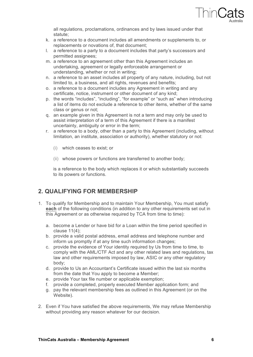

all regulations, proclamations, ordinances and by laws issued under that statute;

- k. a reference to a document includes all amendments or supplements to, or replacements or novations of, that document;
- l. a reference to a party to a document includes that party's successors and permitted assignees;
- m. a reference to an agreement other than this Agreement includes an undertaking, agreement or legally enforceable arrangement or understanding, whether or not in writing;
- n. a reference to an asset includes all property of any nature, including, but not limited to, a business, and all rights, revenues and benefits;
- o. a reference to a document includes any Agreement in writing and any certificate, notice, instrument or other document of any kind;
- p. the words "includes", "including", "for example" or "such as" when introducing a list of items do not exclude a reference to other items, whether of the same class or genus or not;
- q. an example given in this Agreement is not a term and may only be used to assist interpretation of a term of this Agreement if there is a manifest uncertainty, ambiguity or error in the term;
- r. a reference to a body, other than a party to this Agreement (including, without limitation, an institute, association or authority), whether statutory or not:
	- (i) which ceases to exist; or
	- (ii) whose powers or functions are transferred to another body;

is a reference to the body which replaces it or which substantially succeeds to its powers or functions.

#### **2. QUALIFYING FOR MEMBERSHIP**

- 1. To qualify for Membership and to maintain Your Membership, You must satisfy **each** of the following conditions (in addition to any other requirements set out in this Agreement or as otherwise required by TCA from time to time):
	- a. become a Lender or have bid for a Loan within the time period specified in clause 11(4);
	- b. provide a valid postal address, email address and telephone number and inform us promptly if at any time such information changes;
	- c. provide the evidence of Your identity required by Us from time to time, to comply with the AML/CTF Act and any other related laws and regulations, tax law and other requirements imposed by law, ASIC or any other regulatory body;
	- d. provide to Us an Accountant's Certificate issued within the last six months from the date that You apply to become a Member;
	- e. provide Your tax file number or applicable exemption;
	- f. provide a completed, properly executed Member application form; and
	- g. pay the relevant membership fees as outlined in this Agreement (or on the Website).
- 2. Even if You have satisfied the above requirements, We may refuse Membership without providing any reason whatever for our decision.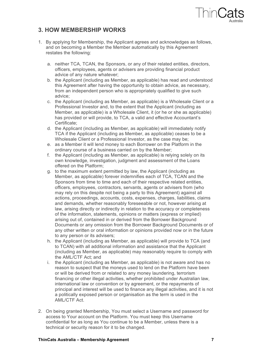

#### **3. HOW MEMBERSHIP WORKS**

- 1. By applying for Membership, the Applicant agrees and acknowledges as follows, and on becoming a Member the Member automatically by this Agreement restates the following:
	- a. neither TCA, TCAN, the Sponsors, or any of their related entities, directors, officers, employees, agents or advisers are providing financial product advice of any nature whatever;
	- b. the Applicant (including as Member, as applicable) has read and understood this Agreement after having the opportunity to obtain advice, as necessary, from an independent person who is appropriately qualified to give such advice;
	- c. the Applicant (including as Member, as applicable) is a Wholesale Client or a Professional Investor and, to the extent that the Applicant (including as Member, as applicable) is a Wholesale Client, it (or he or she as applicable) has provided or will provide, to TCA, a valid and effective Accountant's Certificate;
	- d. the Applicant (including as Member, as applicable) will immediately notify TCA if the Applicant (including as Member, as applicable) ceases to be a Wholesale Client or a Professional Investor, as the case may be;
	- e. as a Member it will lend money to each Borrower on the Platform in the ordinary course of a business carried on by the Member;
	- f. the Applicant (including as Member, as applicable) is relying solely on its own knowledge, investigation, judgment and assessment of the Loans offered on the Platform;
	- g. to the maximum extent permitted by law, the Applicant (including as Member, as applicable) forever indemnifies each of TCA, TCAN and the Sponsors from time to time and each of their respective related entities, officers, employees, contractors, servants, agents or advisers from (who may rely on this despite not being a party to this Agreement) against all actions, proceedings, accounts, costs, expenses, charges, liabilities, claims and demands, whether reasonably foreseeable or not, however arising at law, arising directly or indirectly in relation to the accuracy or completeness of the information, statements, opinions or matters (express or implied) arising out of, contained in or derived from the Borrower Background Documents or any omission from the Borrower Background Documents or of any other written or oral information or opinions provided now or in the future to any person or its advisers;
	- h. the Applicant (including as Member, as applicable) will provide to TCA (and to TCAN) with all additional information and assistance that the Applicant (including as Member, as applicable) may reasonably require to comply with the AML/CTF Act; and
	- i. the Applicant (including as Member, as applicable) is not aware and has no reason to suspect that the moneys used to lend on the Platform have been or will be derived from or related to any money laundering, terrorism financing or other illegal activities, whether prohibited under Australian law, international law or convention or by agreement, or the repayments of principal and interest will be used to finance any illegal activities, and it is not a politically exposed person or organisation as the term is used in the AML/CTF Act.
- 2. On being granted Membership, You must select a Username and password for access to Your account on the Platform. You must keep this Username confidential for as long as You continue to be a Member, unless there is a technical or security reason for it to be changed.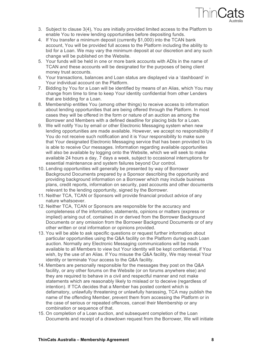

- 3. Subject to clause 3(4), You are initially provided limited access to the Platform to enable You to review lending opportunities before depositing funds.
- 4. If You transfer a minimum deposit (currently \$1,000) into the TCAN bank account, You will be provided full access to the Platform including the ability to bid for a Loan. We may vary the minimum deposit at our discretion and any such change will be published on the Website.
- 5. Your funds will be held in one or more bank accounts with ADIs in the name of TCAN and these accounts will be designated for the purposes of being client money trust accounts.
- 6. Your transactions, balances and Loan status are displayed via a 'dashboard' in Your individual account on the Platform.
- 7. Bidding by You for a Loan will be identified by means of an Alias, which You may change from time to time to keep Your identity confidential from other Lenders that are bidding for a Loan.
- 8. Membership entitles You (among other things) to receive access to information about lending opportunities that are being offered through the Platform. In most cases they will be offered in the form or nature of an auction as among the Borrower and Members with a defined deadline for placing bids for a Loan.
- 9. We will notify You by email or other Electronic Messaging system when new lending opportunities are made available. However, we accept no responsibility if You do not receive such notification and it is Your responsibility to make sure that Your designated Electronic Messaging service that has been provided to Us is able to receive Our messages. Information regarding available opportunities will also be available by logging onto the Website, which we will seek to make available 24 hours a day, 7 days a week, subject to occasional interruptions for essential maintenance and system failures beyond Our control.
- 10. Lending opportunities will generally be presented by way of Borrower Background Documents prepared by a Sponsor describing the opportunity and providing background information on a Borrower which may include business plans, credit reports, information on security, past accounts and other documents relevant to the lending opportunity, signed by the Borrower.
- 11. Neither TCA, TCAN or Sponsors will provide financial product advice of any nature whatsoever.
- 12. Neither TCA, TCAN or Sponsors are responsible for the accuracy and completeness of the information, statements, opinions or matters (express or implied) arising out of, contained in or derived from the Borrower Background Documents or any omission from the Borrower Background Documents or of any other written or oral information or opinions provided.
- 13. You will be able to ask specific questions or request further information about particular opportunities using the Q&A facility on the Platform during each Loan auction. Normally any Electronic Messaging communications will be made available to all Members to view but Your identity will be kept confidential, if You wish, by the use of an Alias. If You misuse the Q&A facility, We may reveal Your identity or terminate Your access to the Q&A facility.
- 14. Members are personally responsible for the messages they post on the Q&A facility, or any other forums on the Website (or on forums anywhere else) and they are required to behave in a civil and respectful manner and not make statements which are reasonably likely to mislead or to deceive (regardless of intention). If TCA decides that a Member has posted content which is defamatory, unlawfully threatening or unlawfully harassing, TCA may publish the name of the offending Member, prevent them from accessing the Platform or in the case of serious or repeated offences, cancel their Membership or any combination or sequence of that.
- 15. On completion of a Loan auction, and subsequent completion of the Loan Documents and receipt of a drawdown request from the Borrower, We will initiate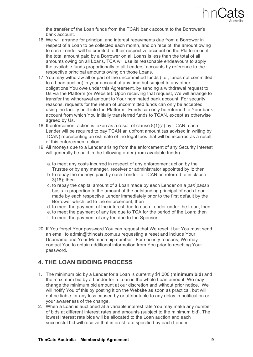

the transfer of the Loan funds from the TCAN bank account to the Borrower's bank account.

- 16. We will arrange for principal and interest repayments due from a Borrower in respect of a Loan to be collected each month, and on receipt, the amount owing to each Lender will be credited to their respective account on the Platform or, if the total amount paid by a Borrower on all Loans is less than the total of all amounts owing on all Loans, TCA will use its reasonable endeavours to apply the available funds proportionally to all Lenders' accounts by reference to the respective principal amounts owing on those Loans.
- 17. You may withdraw all or part of the uncommitted funds (i.e., funds not committed to a Loan auction) in your account at any time but subject to any other obligations You owe under this Agreement, by sending a withdrawal request to Us via the Platform (or Website). Upon receiving that request, We will arrange to transfer the withdrawal amount to Your nominated bank account. For security reasons, requests for the return of uncommitted funds can only be accepted using the facility built into the Platform. Funds can only be returned to Your bank account from which You initially transferred funds to TCAN, except as otherwise agreed by Us.
- 18. If enforcement action is taken as a result of clause 8(1)(a) by TCAN, each Lender will be required to pay TCAN an upfront amount (as advised in writing by TCAN) representing an estimate of the legal fees that will be incurred as a result of this enforcement action.
- 19. All moneys due to a Lender arising from the enforcement of any Security Interest will generally be paid in the following order (from available funds):
	- a. to meet any costs incurred in respect of any enforcement action by the Trustee or by any manager, receiver or administrator appointed by it; then
	- b. to repay the moneys paid by each Lender to TCAN as referred to in clause 3(18); then
	- c. to repay the capital amount of a Loan made by each Lender on a *pari passu* basis in proportion to the amount of the outstanding principal of each Loan made by each respective Lender immediately prior to the first default by the Borrower which led to the enforcement; then
	- d. to meet the payment of the interest due to each Lender under the Loan; then
	- e. to meet the payment of any fee due to TCA for the period of the Loan; then
	- f. to meet the payment of any fee due to the Sponsor.
- 20. If You forget Your password You can request that We reset it but You must send an email to admin@thincats.com.au requesting a reset and include Your Username and Your Membership number. For security reasons, We may contact You to obtain additional information from You prior to resetting Your password.

#### **4. THE LOAN BIDDING PROCESS**

- 1. The minimum bid by a Lender for a Loan is currently \$1,000 (**minimum bid**) and the maximum bid by a Lender for a Loan is the whole Loan amount. We may change the minimum bid amount at our discretion and without prior notice. We will notify You of this by posting it on the Website as soon as practical, but will not be liable for any loss caused by or attributable to any delay in notification or your awareness of the change.
- 2. When a Loan is auctioned at a variable interest rate You may make any number of bids at different interest rates and amounts (subject to the minimum bid). The lowest interest rate bids will be allocated to the Loan auction and each successful bid will receive that interest rate specified by each Lender.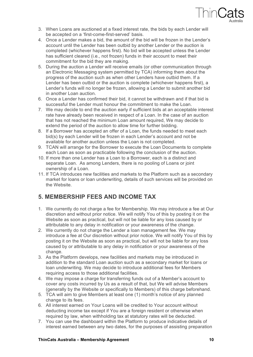

- 3. When Loans are auctioned at a fixed interest rate, the bids by each Lender will be accepted on a 'first-come-first-served' basis.
- 4. Once a Lender makes a bid, the amount of the bid will be frozen in the Lender's account until the Lender has been outbid by another Lender or the auction is completed (whichever happens first). No bid will be accepted unless the Lender has sufficient cleared (i.e., not frozen) funds in their account to meet their commitment for the bid they are making.
- 5. During the auction a Lender will receive emails (or other communication through an Electronic Messaging system permitted by TCA) informing them about the progress of the auction such as when other Lenders have outbid them. If a Lender has been outbid or the auction is complete (whichever happens first), a Lender's funds will no longer be frozen, allowing a Lender to submit another bid in another Loan auction.
- 6. Once a Lender has confirmed their bid, it cannot be withdrawn and if that bid is successful the Lender must honour the commitment to make the Loan.
- 7. We may decide to end the auction early if sufficient bids at an acceptable interest rate have already been received in respect of a Loan. In the case of an auction that has not reached the minimum Loan amount required, We may decide to extend the period of the auction to allow time for further bidding.
- 8. If a Borrower has accepted an offer of a Loan, the funds needed to meet each bid(s) by each Lender will be frozen in each Lender's account and not be available for another auction unless the Loan is not completed.
- 9. TCAN will arrange for the Borrower to execute the Loan Documents to complete each Loan as soon as practicable following the conclusion of the auction.
- 10. If more than one Lender has a Loan to a Borrower, each is a distinct and separate Loan. As among Lenders, there is no pooling of Loans or joint ownership of a Loan.
- 11. If TCA introduces new facilities and markets to the Platform such as a secondary market for loans or loan underwriting, details of such services will be provided on the Website.

#### **5. MEMBERSHIP FEES AND INCOME TAX**

- 1. We currently do not charge a fee for Membership. We may introduce a fee at Our discretion and without prior notice. We will notify You of this by posting it on the Website as soon as practical, but will not be liable for any loss caused by or attributable to any delay in notification or your awareness of the change.
- 2. We currently do not charge the Lender a loan management fee. We may introduce a fee at Our discretion without prior notice. We will notify You of this by posting it on the Website as soon as practical, but will not be liable for any loss caused by or attributable to any delay in notification or your awareness of the change.
- 3. As the Platform develops, new facilities and markets may be introduced in addition to the standard Loan auction such as a secondary market for loans or loan underwriting. We may decide to introduce additional fees for Members requiring access to those additional facilities.
- 4. We may impose a charge for transferring funds out of a Member's account to cover any costs incurred by Us as a result of that, but We will advise Members (generally by the Website or specifically to Members) of this charge beforehand.
- 5. TCA will aim to give Members at least one (1) month's notice of any planned change to its fees.
- 6. All interest earned on Your Loans will be credited to Your account without deducting income tax except if You are a foreign resident or otherwise when required by law, when withholding tax at statutory rates will be deducted.
- 7. You can use the dashboard within the Platform to produce indicative details of interest earned between any two dates, for the purposes of assisting preparation

#### **ThinCats Australia – Membership Agreement 10**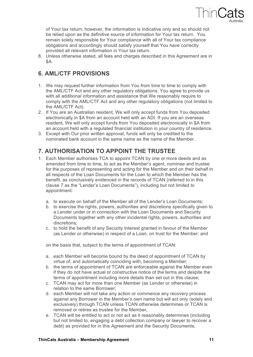

of Your tax return; however, the information is indicative only and so should not be relied upon as the definitive source of information for Your tax return. You remain solely responsible for Your compliance with all of Your tax compliance obligations and accordingly should satisfy yourself that You have correctly provided all relevant information in Your tax return.

8. Unless otherwise stated, all fees and charges described in this Agreement are in \$A.

## **6. AML/CTF PROVISIONS**

- 1. We may request further information from You from time to time to comply with the AML/CTF Act and any other regulatory obligations. You agree to provide us with all additional information and assistance that We reasonably require to comply with the AML/CTF Act and any other regulatory obligations (not limited to the AML/CTF Act).
- 2. If You are an Australian resident, We will only accept funds from You deposited electronically in \$A from an account held with an ADI. If you are an overseas resident, We will only accept funds from You deposited electronically in \$A from an account held with a regulated financial institution in your country of residence.
- 3. Except with Our prior written approval, funds will only be credited to the nominated bank account in the same name as the name of the Member.

## **7. AUTHORISATION TO APPOINT THE TRUSTEE**

- 1. Each Member authorises TCA to appoint TCAN by one or more deeds and as amended from time to time, to act as the Member's agent, nominee and trustee for the purposes of representing and acting for the Member and on their behalf in all respects of the Loan Documents for the Loan to which the Member has the benefit, as conclusively evidenced in the records of TCAN (referred to in this clause 7 as the "Lender's Loan Documents"), including but not limited to appointment:
	- a. to execute on behalf of the Member all of the Lender's Loan Documents;
	- b. to exercise the rights, powers, authorities and discretions specifically given to a Lender under or in connection with the Loan Documents and Security Documents together with any other incidental rights, powers, authorities and discretions;
	- c. to hold the benefit of any Security Interest granted in favour of the Member (as Lender or otherwise) in respect of a Loan, on trust for the Member; and

on the basis that, subject to the terms of appointment of TCAN:

- a. each Member will become bound by the deed of appointment of TCAN by virtue of, and automatically coinciding with, becoming a Member;
- b. the terms of appointment of TCAN are enforceable against the Member even if they do not have actual or constructive notice of the terms and despite the terms of appointment including more details than set out in this clause;
- c. TCAN may act for more than one Member (as Lender or otherwise) in relation to the same Borrower;
- d. each Member will not take any action or commence any recovery process against any Borrower in the Member's own name but will act only (solely and exclusively) through TCAN unless TCAN otherwise determines or TCAN is removed or retires as trustee for the Member,
- e. TCAN will be entitled to act or not act as it reasonably determines (including but not limited to, engaging a debt collection company or lawyer to recover a debt) as provided for in this Agreement and the Security Documents;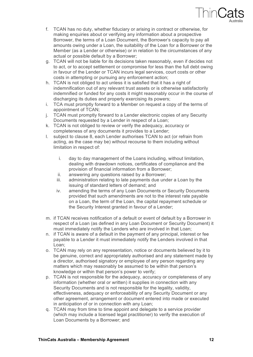

- f. TCAN has no duty, whether fiduciary or arising in contract or otherwise, for making enquiries about or verifying any information about a prospective Borrower, the terms of a Loan Document, the Borrower's capacity to pay all amounts owing under a Loan, the suitability of the Loan for a Borrower or the Member (as a Lender or otherwise) or in relation to the circumstances of any actual or possible default by a Borrower;
- g. TCAN will not be liable for its decisions taken reasonably, even if decides not to act, or to accept settlement or compromise for less than the full debt owing in favour of the Lender or TCAN incurs legal services, court costs or other costs in attempting or pursuing any enforcement action;
- h. TCAN is not obliged to act unless it is satisfied that it has a right of indemnification out of any relevant trust assets or is otherwise satisfactorily indemnified or funded for any costs it might reasonably occur in the course of discharging its duties and properly exercising its powers;
- i. TCA must promptly forward to a Member on request a copy of the terms of appointment of TCAN;
- j. TCAN must promptly forward to a Lender electronic copies of any Security Documents requested by a Lender in respect of a Loan;
- k. TCAN is not obliged to review or verify the adequacy, accuracy or completeness of any documents it provides to a Lender;
- l. subject to clause 8, each Lender authorises TCAN to act (or refrain from acting, as the case may be) without recourse to them including without limitation in respect of:
	- i. day to day management of the Loans including, without limitation, dealing with drawdown notices, certificates of compliance and the provision of financial information from a Borrower;
	- ii. answering any questions raised by a Borrower;
	- iii. administration relating to late payments due under a Loan by the issuing of standard letters of demand; and
	- iv. amending the terms of any Loan Documents or Security Documents provided that such amendments are not to the interest rate payable on a Loan, the term of the Loan, the capital repayment schedule or the Security Interest granted in favour of a Lender;
- m. if TCAN receives notification of a default or event of default by a Borrower in respect of a Loan (as defined in any Loan Document or Security Document) it must immediately notify the Lenders who are involved in that Loan;
- n. if TCAN is aware of a default in the payment of any principal, interest or fee payable to a Lender it must immediately notify the Lenders involved in that Loan;
- o. TCAN may rely on any representation, notice or documents believed by it to be genuine, correct and appropriately authorised and any statement made by a director, authorised signatory or employee of any person regarding any matters which may reasonably be assumed to be within that person's knowledge or within that person's power to verify;
- p. TCAN is not responsible for the adequacy, accuracy or completeness of any information (whether oral or written) it supplies in connection with any Security Documents and is not responsible for the legality, validity, effectiveness, adequacy or enforceability of any Security Document or any other agreement, arrangement or document entered into made or executed in anticipation of or in connection with any Loan;
- q. TCAN may from time to time appoint and delegate to a service provider (which may include a licensed legal practitioner) to verify the execution of Loan Documents by a Borrower; and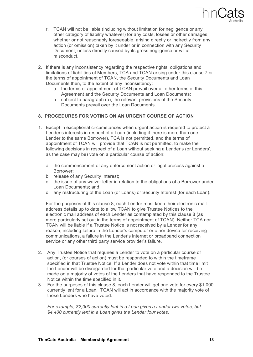

- r. TCAN will not be liable (including without limitation for negligence or any other category of liability whatever) for any costs, losses or other damages, whether or not reasonably foreseeable, arising directly or indirectly from any action (or omission) taken by it under or in connection with any Security Document, unless directly caused by its gross negligence or wilful misconduct.
- 2. If there is any inconsistency regarding the respective rights, obligations and limitations of liabilities of Members, TCA and TCAN arising under this clause 7 or the terms of appointment of TCAN, the Security Documents and Loan Documents then, to the extent of any inconsistency:
	- a. the terms of appointment of TCAN prevail over all other terms of this Agreement and the Security Documents and Loan Documents;
	- b. subject to paragraph (a), the relevant provisions of the Security Documents prevail over the Loan Documents.

#### **8. PROCEDURES FOR VOTING ON AN URGENT COURSE OF ACTION**

- 1. Except in exceptional circumstances when urgent action is required to protect a Lender's interests in respect of a Loan (including if there is more than one Lender to the same Borrower), TCA is not permitted, and the terms of appointment of TCAN will provide that TCAN is not permitted, to make the following decisions in respect of a Loan without seeking a Lender's (or Lenders', as the case may be) vote on a particular course of action:
	- a. the commencement of any enforcement action or legal process against a Borrower;
	- b. release of any Security Interest;
	- c. the issue of any waiver letter in relation to the obligations of a Borrower under Loan Documents; and
	- d. any restructuring of the Loan (or Loans) or Security Interest (for each Loan).

For the purposes of this clause 8, each Lender must keep their electronic mail address details up to date to allow TCAN to give Trustee Notices to the electronic mail address of each Lender as contemplated by this clause 8 (as more particularly set out in the terms of appointment of TCAN). Neither TCA nor TCAN will be liable if a Trustee Notice is not received by a Lender for any reason, including failure in the Lender's computer or other device for receiving communications, a failure in the Lender's internet or broadband connection service or any other third party service provider's failure.

- 2. Any Trustee Notice that requires a Lender to vote on a particular course of action, (or courses of action) must be responded to within the timeframe specified in that Trustee Notice. If a Lender does not vote within that time limit the Lender will be disregarded for that particular vote and a decision will be made on a majority of votes of the Lenders that have responded to the Trustee Notice within the time specified in it.
- 3. For the purposes of this clause 8, each Lender will get one vote for every \$1,000 currently lent for a Loan. TCAN will act in accordance with the majority vote of those Lenders who have voted.

*For example, \$2,000 currently lent in a Loan gives a Lender two votes, but \$4,400 currently lent in a Loan gives the Lender four votes.*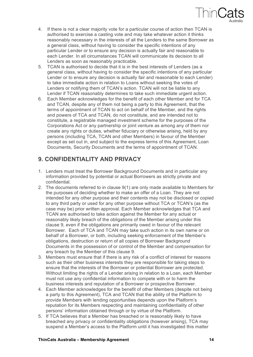

- 4. If there is not a clear majority vote for a particular course of action then TCAN is authorised to exercise a casting vote and may take whatever action it thinks reasonably necessary in the interests of all the Lenders to the same Borrower as a general class, without having to consider the specific intentions of any particular Lender or to ensure any decision is actually fair and reasonable to each Lender. In all circumstances TCAN will communicate its decision to all Lenders as soon as reasonably practicable.
- 5. TCAN is authorised to decide that it is in the best interests of Lenders (as a general class, without having to consider the specific intentions of any particular Lender or to ensure any decision is actually fair and reasonable to each Lender) to take immediate action in relation to Loans without seeking the votes of Lenders or notifying them of TCAN's action. TCAN will not be liable to any Lender if TCAN reasonably determines to take such immediate urgent action.
- 6. Each Member acknowledges for the benefit of each other Member and for TCA and TCAN, despite any of them not being a party to this Agreement, that the terms of appointment of TCAN to act on behalf of the Member, and the rights and powers of TCA and TCAN, do not constitute, and are intended not to constitute, a registrable managed investment scheme for the purposes of the Corporations Act or any partnership or joint venture as among any of them nor create any rights or duties, whether fiduciary or otherwise arising, held by any persons (including TCA, TCAN and other Members) in favour of the Member except as set out in, and subject to the express terms of this Agreement, Loan Documents, Security Documents and the terms of appointment of TCAN.

## **9. CONFIDENTIALITY AND PRIVACY**

- 1. Lenders must treat the Borrower Background Documents and in particular any information provided by potential or actual Borrowers as strictly private and confidential.
- 2. The documents referred to in clause 9(1) are only made available to Members for the purposes of deciding whether to make an offer of a Loan. They are not intended for any other purpose and their contents may not be disclosed or copied to any third party or used for any other purpose without TCA or TCAN's (as the case may be) prior written approval. Each Member acknowledges that TCA and TCAN are authorised to take action against the Member for any actual or reasonably likely breach of the obligations of the Member arising under this clause 9, even if the obligations are primarily owed in favour of the relevant Borrower. Each of TCA and TCAN may take such action in its own name or on behalf of a Borrower, or both, including seeking enforcement of the Member's obligations, destruction or return of all copies of Borrower Background Documents in the possession of or control of the Member and compensation for any breach by the Member of this clause 9.
- 3. Members must ensure that if there is any risk of a conflict of interest for reasons such as their other business interests they are responsible for taking steps to ensure that the interests of the Borrower or potential Borrower are protected. Without limiting the rights of a Lender arising in relation to a Loan, each Member must not use any confidential information to compete with or to harm the business interests and reputation of a Borrower or prospective Borrower.
- 4. Each Member acknowledges for the benefit of other Members (despite not being a party to this Agreement), TCA and TCAN that the ability of the Platform to provide Members with lending opportunities depends upon the Platform's reputation for its Members respecting and maintaining confidentiality of other persons' information obtained through or by virtue of the Platform.
- 5. If TCA believes that a Member has breached or is reasonably likely to have breached any privacy or confidentiality obligations (however arising), TCA may suspend a Member's access to the Platform until it has investigated this matter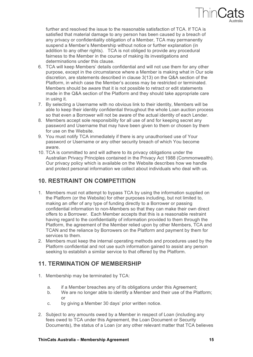

further and resolved the issue to the reasonable satisfaction of TCA. If TCA is satisfied that material damage to any person has been caused by a breach of any privacy or confidentiality obligation of a Member, TCA may permanently suspend a Member's Membership without notice or further explanation (in addition to any other rights). TCA is not obliged to provide any procedural fairness to the Member in the course of making its investigations and determinations under this clause.

- 6. TCA will keep Members' details confidential and will not use them for any other purpose, except in the circumstance where a Member is making what in Our sole discretion, are statements described in clause 3(13) on the Q&A section of the Platform, in which case the Member's access may be restricted or terminated. Members should be aware that it is not possible to retract or edit statements made in the Q&A section of the Platform and they should take appropriate care in using it.
- 7. By selecting a Username with no obvious link to their identity, Members will be able to keep their identity confidential throughout the whole Loan auction process so that even a Borrower will not be aware of the actual identity of each Lender.
- 8. Members accept sole responsibility for all use of and for keeping secret any password and Username that may have been given to them or chosen by them for use on the Website.
- 9. You must notify TCA immediately if there is any unauthorised use of Your password or Username or any other security breach of which You become aware.
- 10. TCA is committed to and will adhere to its privacy obligations under the Australian Privacy Principles contained in the Privacy Act 1988 (Commonwealth). Our privacy policy which is available on the Website describes how we handle and protect personal information we collect about individuals who deal with us.

#### **10. RESTRAINT ON COMPETITION**

- 1. Members must not attempt to bypass TCA by using the information supplied on the Platform (or the Website) for other purposes including, but not limited to, making an offer of any type of funding directly to a Borrower or passing confidential information to non-Members so that they can make their own direct offers to a Borrower. Each Member accepts that this is a reasonable restraint having regard to the confidentiality of information provided to them through the Platform, the agreement of the Member relied upon by other Members, TCA and TCAN and the reliance by Borrowers on the Platform and payment by them for services to them.
- 2. Members must keep the internal operating methods and procedures used by the Platform confidential and not use such information gained to assist any person seeking to establish a similar service to that offered by the Platform.

#### **11. TERMINATION OF MEMBERSHIP**

- 1. Membership may be terminated by TCA:
	- a. if a Member breaches any of its obligations under this Agreement;
	- b. We are no longer able to identify a Member and their use of the Platform; or
	- c. by giving a Member 30 days' prior written notice.
- 2. Subject to any amounts owed by a Member in respect of Loan (including any fees owed to TCA under this Agreement, the Loan Document or Security Documents), the status of a Loan (or any other relevant matter that TCA believes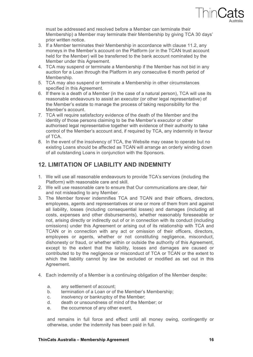

must be addressed and resolved before a Member can terminate their Membership) a Member may terminate their Membership by giving TCA 30 days' prior written notice.

- 3. If a Member terminates their Membership in accordance with clause 11.2, any moneys in the Member's account on the Platform (or in the TCAN trust account held for the Member) will be transferred to the bank account nominated by the Member under this Agreement.
- 4. TCA may suspend or terminate a Membership if the Member has not bid in any auction for a Loan through the Platform in any consecutive 6 month period of Membership.
- 5. TCA may also suspend or terminate a Membership in other circumstances specified in this Agreement.
- 6. If there is a death of a Member (in the case of a natural person), TCA will use its reasonable endeavours to assist an executor (or other legal representative) of the Member's estate to manage the process of taking responsibility for the Member's account.
- 7. TCA will require satisfactory evidence of the death of the Member and the identity of those persons claiming to be the Member's executor or other authorised legal representative together with evidence of their authority to take control of the Member's account and, if required by TCA, any indemnity in favour of TCA.
- 8. In the event of the insolvency of TCA, the Website may cease to operate but no existing Loans should be affected as TCAN will arrange an orderly winding down of all outstanding Loans in conjunction with the Sponsors.

## **12. LIMITATION OF LIABILITY AND INDEMNITY**

- 1. We will use all reasonable endeavours to provide TCA's services (including the Platform) with reasonable care and skill.
- 2. We will use reasonable care to ensure that Our communications are clear, fair and not misleading to any Member.
- 3. The Member forever indemnifies TCA and TCAN and their officers, directors, employees, agents and representatives or one or more of them from and against all liability, losses (including consequential losses) and damages (including all costs, expenses and other disbursements), whether reasonably foreseeable or not, arising directly or indirectly out of or in connection with its conduct (including omissions) under this Agreement or arising out of its relationship with TCA and TCAN or in connection with any act or omission of their officers, directors, employees or agents, whether or not constituting negligence, misconduct, dishonesty or fraud, or whether within or outside the authority of this Agreement, except to the extent that the liability, losses and damages are caused or contributed to by the negligence or misconduct of TCA or TCAN or the extent to which the liability cannot by law be excluded or modified as set out in this Agreement.
- 4. Each indemnity of a Member is a continuing obligation of the Member despite:
	- a. any settlement of account;
	- b. termination of a Loan or of the Member's Membership;
	- c. insolvency or bankruptcy of the Member;
	- d. death or unsoundness of mind of the Member; or
	- e. the occurrence of any other event,

and remains in full force and effect until all money owing, contingently or otherwise, under the indemnity has been paid in full.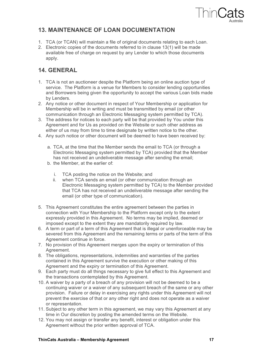

## **13. MAINTENANCE OF LOAN DOCUMENTATION**

- 1. TCA (or TCAN) will maintain a file of original documents relating to each Loan.
- 2. Electronic copies of the documents referred to in clause 13(1) will be made available free of charge on request by any Lender to which those documents apply.

## **14. GENERAL**

- 1. TCA is not an auctioneer despite the Platform being an online auction type of service. The Platform is a venue for Members to consider lending opportunities and Borrowers being given the opportunity to accept the various Loan bids made by Lenders.
- 2. Any notice or other document in respect of Your Membership or application for Membership will be in writing and must be transmitted by email (or other communication through an Electronic Messaging system permitted by TCA).
- 3. The address for notices to each party will be that provided by You under this Agreement and for Us as provided on the Website or such other address as either of us may from time to time designate by written notice to the other.
- 4. Any such notice or other document will be deemed to have been received by:
	- a. TCA, at the time that the Member sends the email to TCA (or through a Electronic Messaging system permitted by TCA) provided that the Member has not received an undeliverable message after sending the email;
	- b. the Member, at the earlier of:
		- i. TCA posting the notice on the Website; and
		- ii. when TCA sends an email (or other communication through an Electronic Messaging system permitted by TCA) to the Member provided that TCA has not received an undeliverable message after sending the email (or other type of communication).
- 5. This Agreement constitutes the entire agreement between the parties in connection with Your Membership to the Platform except only to the extent expressly provided in this Agreement. No terms may be implied, deemed or imposed except to the extent they are mandatorily required by law.
- 6. A term or part of a term of this Agreement that is illegal or unenforceable may be severed from this Agreement and the remaining terms or parts of the term of this Agreement continue in force.
- 7. No provision of this Agreement merges upon the expiry or termination of this Agreement.
- 8. The obligations, representations, indemnities and warranties of the parties contained in this Agreement survive the execution or other making of this Agreement and the expiry or termination of this Agreement.
- 9. Each party must do all things necessary to give full effect to this Agreement and the transactions contemplated by this Agreement.
- 10. A waiver by a party of a breach of any provision will not be deemed to be a continuing waiver or a waiver of any subsequent breach of the same or any other provision. Failure or delay in exercising any rights under this Agreement will not prevent the exercise of that or any other right and does not operate as a waiver or representation.
- 11. Subject to any other term in this agreement, we may vary this Agreement at any time in Our discretion by posting the amended terms on the Website.
- 12. You may not assign or transfer any benefit, interest or obligation under this Agreement without the prior written approval of TCA.